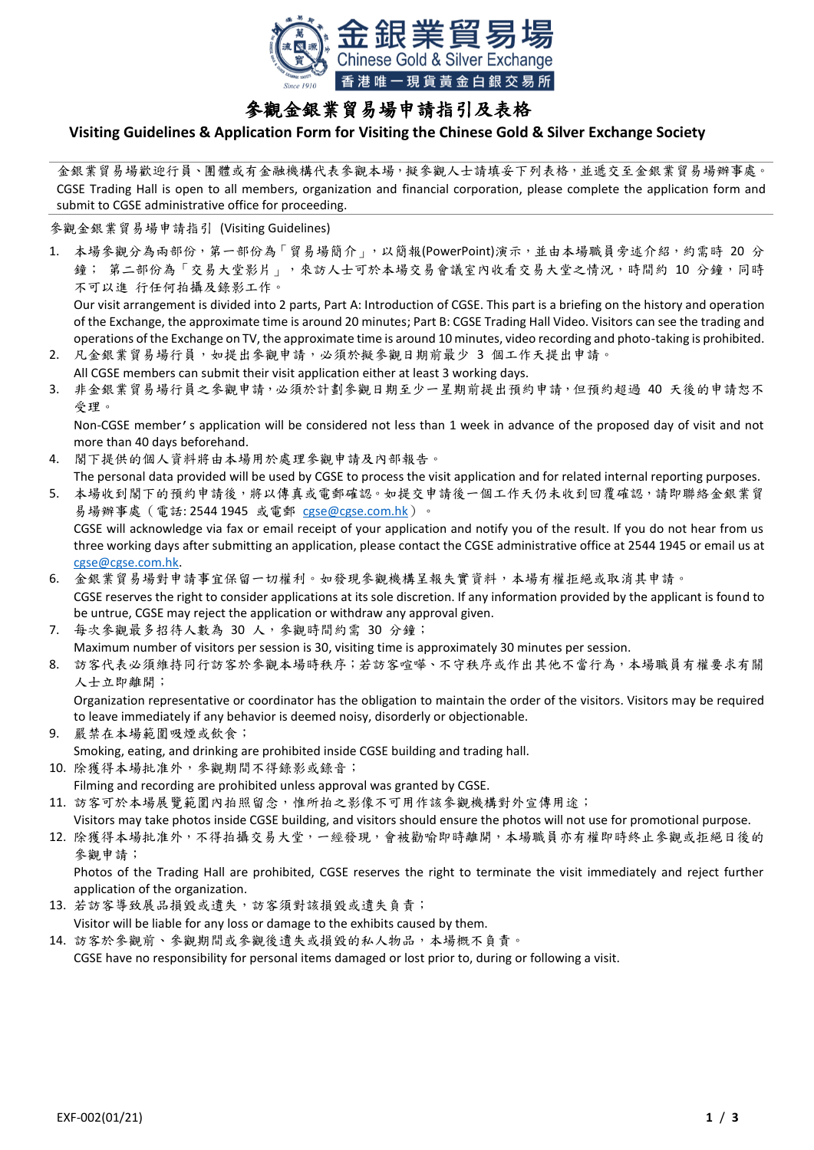

## 參觀金銀業貿易場申請指引及表格

## **Visiting Guidelines & Application Form for Visiting the Chinese Gold & Silver Exchange Society**

金銀業貿易場歡迎行員、團體或有金融機構代表參觀本場,擬參觀人士請填妥下列表格,並遞交至金銀業貿易場辦事處。 CGSE Trading Hall is open to all members, organization and financial corporation, please complete the application form and submit to CGSE administrative office for proceeding.

參觀金銀業貿易場申請指引 (Visiting Guidelines)

1. 本場參觀分為兩部份,第一部份為「貿易場簡介」,以簡報(PowerPoint)演示,並由本場職員旁述介紹,約需時 20 分 鐘; 第二部份為「交易大堂影片」,來訪人士可於本場交易會議室內收看交易大堂之情況,時間約 10 分鐘,同時 不可以進 行任何拍攝及錄影工作。

Our visit arrangement is divided into 2 parts, Part A: Introduction of CGSE. This part is a briefing on the history and operation of the Exchange, the approximate time is around 20 minutes; Part B: CGSE Trading Hall Video. Visitors can see the trading and operations of the Exchange on TV, the approximate time is around 10 minutes, video recording and photo-taking is prohibited.

- 2. 凡金銀業貿易場行員,如提出參觀申請,必須於擬參觀日期前最少 3 個工作天提出申請。 All CGSE members can submit their visit application either at least 3 working days.
- 3. 非金銀業貿易場行員之參觀申請,必須於計劃參觀日期至少一星期前提出預約申請,但預約超過 40 天後的申請恕不 受理。

Non-CGSE member's application will be considered not less than 1 week in advance of the proposed day of visit and not more than 40 days beforehand.

- 4. 閣下提供的個人資料將由本場用於處理參觀申請及內部報告。
- The personal data provided will be used by CGSE to process the visit application and for related internal reporting purposes. 5. 本場收到閣下的預約申請後,將以傳真或電郵確認。如提交申請後一個工作天仍未收到回覆確認,請即聯絡金銀業貿 易場辦事處 (電話: 2544 1945 或電郵 [cgse@cgse.com.hk](mailto:cgse@cgse.com.hk))。

CGSE will acknowledge via fax or email receipt of your application and notify you of the result. If you do not hear from us three working days after submitting an application, please contact the CGSE administrative office at 2544 1945 or email us at [cgse@cgse.com.hk.](mailto:cgse@cgse.com.hk)

- 6. 金銀業貿易場對申請事宜保留一切權利。如發現參觀機構呈報失實資料,本場有權拒絕或取消其申請。 CGSE reserves the right to consider applications at its sole discretion. If any information provided by the applicant is found to be untrue, CGSE may reject the application or withdraw any approval given.
- 7. 每次參觀最多招待人數為 30 人,參觀時間約需 30 分鐘; Maximum number of visitors per session is 30, visiting time is approximately 30 minutes per session.
- 8. 訪客代表必須維持同行訪客於參觀本場時秩序;若訪客喧嘩、不守秩序或作出其他不當行為,本場職員有權要求有關 人士立即離開;

Organization representative or coordinator has the obligation to maintain the order of the visitors. Visitors may be required to leave immediately if any behavior is deemed noisy, disorderly or objectionable.

- 9. 嚴禁在本場範圍吸煙或飲食; Smoking, eating, and drinking are prohibited inside CGSE building and trading hall.
- 10. 除獲得本場批准外,參觀期間不得錄影或錄音; Filming and recording are prohibited unless approval was granted by CGSE.
- 11. 訪客可於本場展覽範圍內拍照留念,惟所拍之影像不可用作該參觀機構對外宣傳用途;

Visitors may take photos inside CGSE building, and visitors should ensure the photos will not use for promotional purpose.

12. 除獲得本場批准外,不得拍攝交易大堂,一經發現,會被勸喻即時離開,本場職員亦有權即時終止參觀或拒絕日後的 參觀申請;

Photos of the Trading Hall are prohibited, CGSE reserves the right to terminate the visit immediately and reject further application of the organization.

13. 若訪客導致展品損毀或遺失,訪客須對該損毀或遺失負責;

Visitor will be liable for any loss or damage to the exhibits caused by them.

14. 訪客於參觀前、參觀期間或參觀後遺失或損毀的私人物品,本場概不負責。 CGSE have no responsibility for personal items damaged or lost prior to, during or following a visit.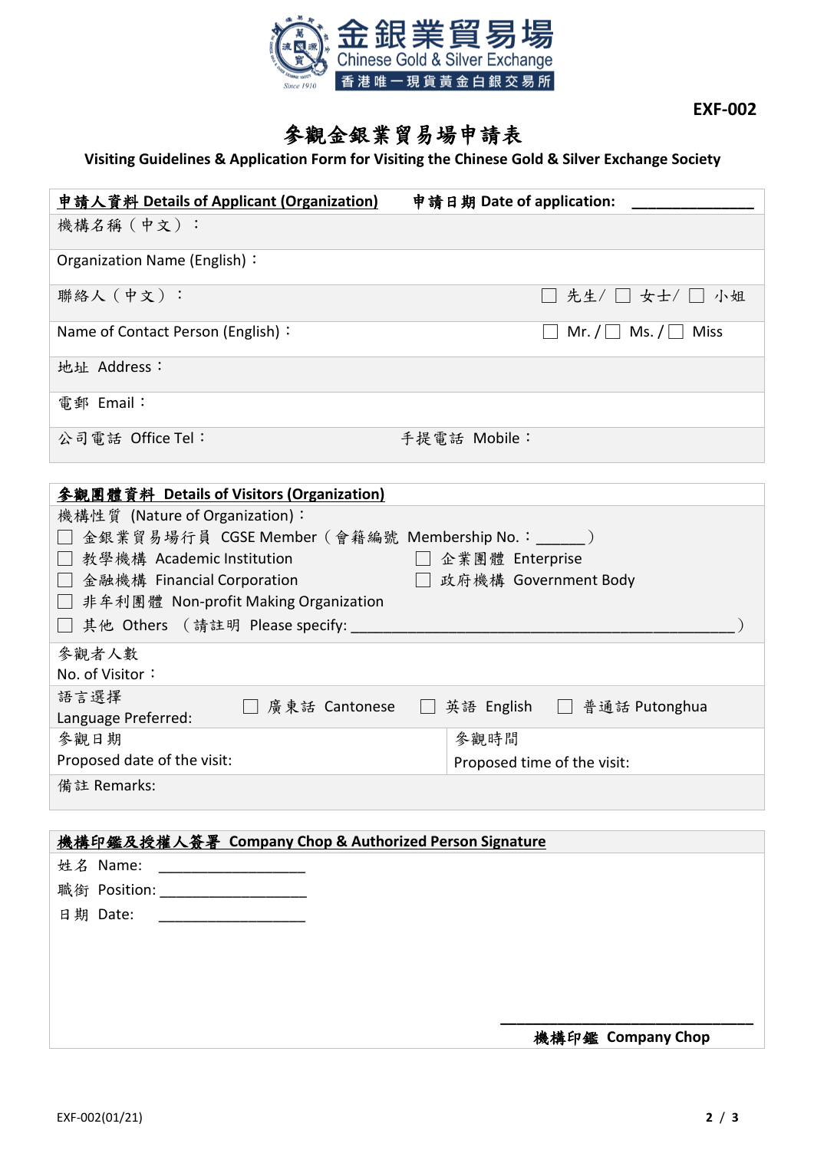

**EXF-002**

## 參觀金銀業貿易場申請表

## **Visiting Guidelines & Application Form for Visiting the Chinese Gold & Silver Exchange Society**

| 中請人資料 Details of Applicant (Organization)         | 申請日期 Date of application:                    |
|---------------------------------------------------|----------------------------------------------|
| 機構名稱(中文):                                         |                                              |
| Organization Name (English):                      |                                              |
| 聯絡人 (中文):                                         | $\Box$ 先生/ $\Box$ 女士/ $\Box$ 小姐              |
| Name of Contact Person (English):                 | Mr. $/ \Box$ Ms. $/ \Box$ Miss               |
| 地址 Address:                                       |                                              |
| 電郵 Email:                                         |                                              |
| 公司電話 Office Tel:                                  | 手提電話 Mobile:                                 |
|                                                   |                                              |
| 參觀團體資料 Details of Visitors (Organization)         |                                              |
| 機構性質 (Nature of Organization):                    |                                              |
| □ 金銀業貿易場行員 CGSE Member(會籍編號 Membership No.:_____) |                                              |
| □ 教學機構 Academic Institution                       | □ 企業團體 Enterprise                            |
| □ 金融機構 Financial Corporation                      | □ 政府機構 Government Body                       |
| □ 非牟利團體 Non-profit Making Organization            |                                              |
| 其他 Others (請註明 Please specify:                    |                                              |
| 參觀者人數                                             |                                              |
| No. of Visitor:                                   |                                              |
| 語言選擇                                              |                                              |
| Language Preferred:                               | □ 廣東話 Cantonese □ 英語 English □ 普通話 Putonghua |
| 參觀日期                                              | 參觀時間                                         |
| Proposed date of the visit:                       | Proposed time of the visit:                  |
| 備註 Remarks:                                       |                                              |

|              | 機構印鑑及授權人簽署 Company Chop & Authorized Person Signature |
|--------------|-------------------------------------------------------|
| 姓名 Name:     |                                                       |
| 職銜 Position: |                                                       |
| 日期 Date:     |                                                       |
|              |                                                       |
|              |                                                       |
|              |                                                       |
|              |                                                       |
|              | 機構印鑑 Company Chop                                     |